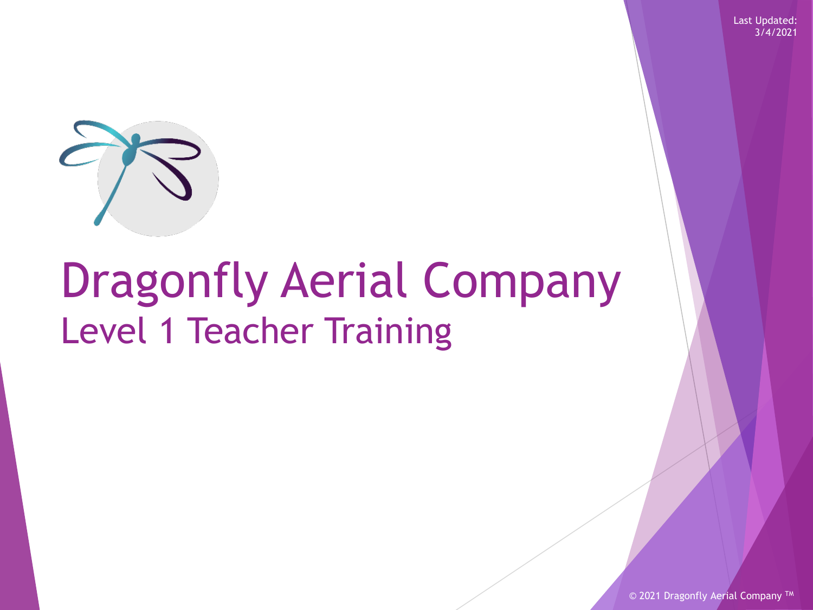

# Dragonfly Aerial Company Level 1 Teacher Training

© 2021 Dragonfly Aerial Company<sup>TM</sup>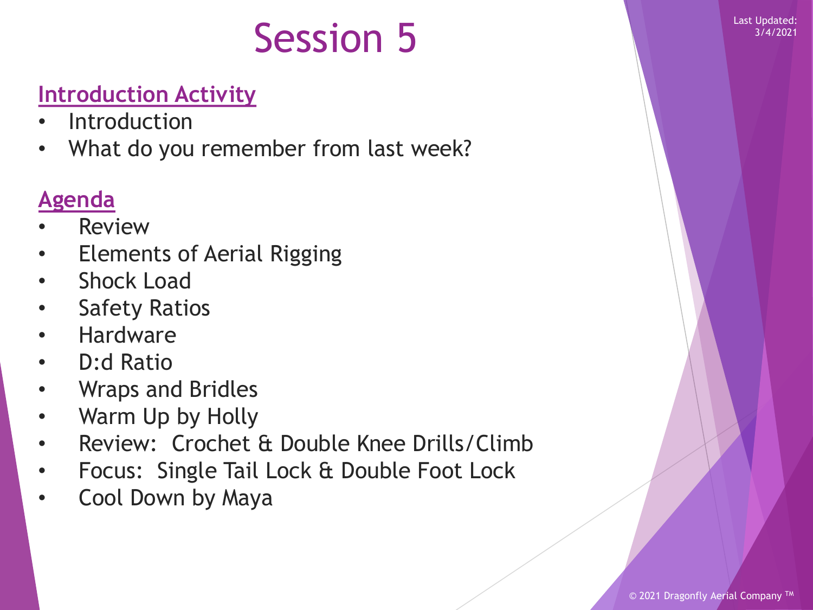# Session 5 Last Updated:

#### **Introduction Activity**

- **Introduction**
- What do you remember from last week?

#### **Agenda**

- **Review**
- Elements of Aerial Rigging
- Shock Load
- **Safety Ratios**
- Hardware
- D:d Ratio
- Wraps and Bridles
- Warm Up by Holly
- Review: Crochet & Double Knee Drills/Climb
- Focus: Single Tail Lock & Double Foot Lock
- Cool Down by Maya

3/4/2021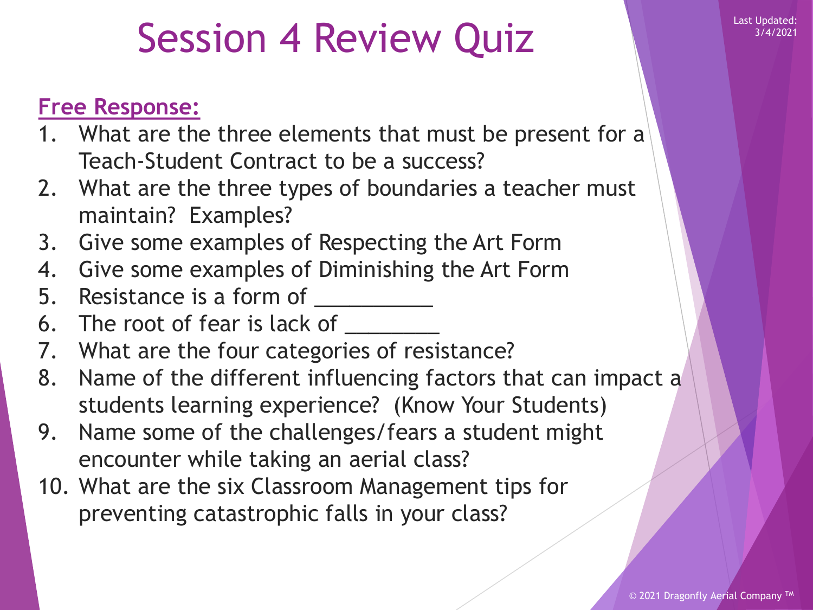## Session 4 Review Quiz Netwith the Mass Updated:

#### **Free Response:**

- 1. What are the three elements that must be present for a Teach-Student Contract to be a success?
- 2. What are the three types of boundaries a teacher must maintain? Examples?
- 3. Give some examples of Respecting the Art Form
- 4. Give some examples of Diminishing the Art Form
- 5. Resistance is a form of
- 6. The root of fear is lack of
- 7. What are the four categories of resistance?
- 8. Name of the different influencing factors that can impact a students learning experience? (Know Your Students)
- 9. Name some of the challenges/fears a student might encounter while taking an aerial class?
- 10. What are the six Classroom Management tips for preventing catastrophic falls in your class?

3/4/2021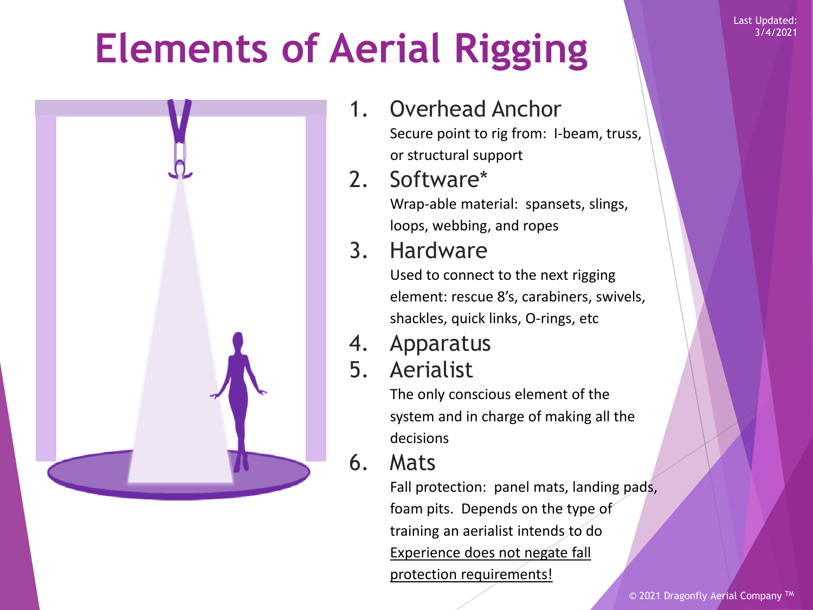# **Elements of Aerial Rigging**



1. Overhead Anchor Secure point to rig from: I-beam, truss,

or structural support

2. Software\*

Wrap-able material: spansets, slings, loops, webbing, and ropes

3. Hardware

Used to connect to the next rigging element: rescue 8's, carabiners, swivels, shackles, quick links, O-rings, etc

- 4. Apparatus
- 5. Aerialist

The only conscious element of the system and in charge of making all the decisions

6. Mats

Fall protection: panel mats, landing pads, foam pits. Depends on the type of training an aerialist intends to do Experience does not negate fall protection requirements!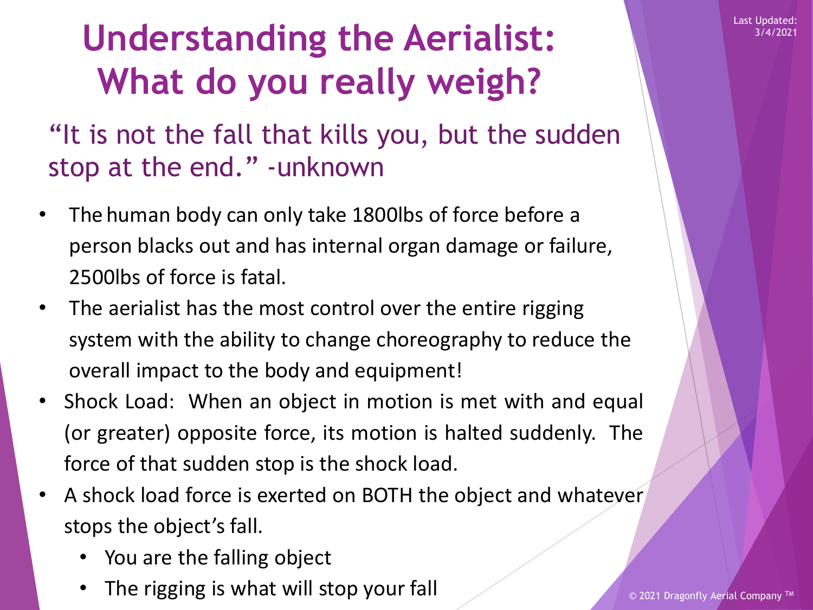## **Understanding the Aerialist: What do you really weigh?**

#### "It is not the fall that kills you, but the sudden stop at the end." -unknown

- The human body can only take 1800lbs of force before a person blacks out and has internal organ damage or failure, 2500lbs of force is fatal.
- The aerialist has the most control over the entire rigging system with the ability to change choreography to reduce the overall impact to the body and equipment!
- Shock Load: When an object in motion is met with and equal (or greater) opposite force, its motion is halted suddenly. The force of that sudden stop is the shock load.
- A shock load force is exerted on BOTH the object and whatever stops the object's fall.
	- You are the falling object
	- The rigging is what will stop your fall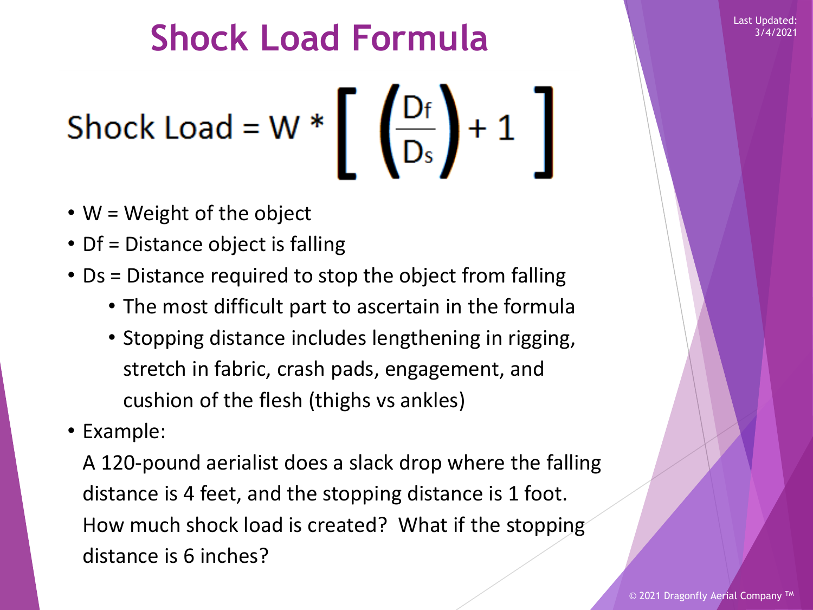# **Shock Load Formula**

Shock Load =  $W * \left[\begin{array}{c} D_f \\ D_s \end{array}\right] + 1$ 

- W = Weight of the object
- Df = Distance object is falling
- Ds = Distance required to stop the object from falling
	- The most difficult part to ascertain in the formula
	- Stopping distance includes lengthening in rigging, stretch in fabric, crash pads, engagement, and cushion of the flesh (thighs vs ankles)
- Example:

A 120-pound aerialist does a slack drop where the falling distance is 4 feet, and the stopping distance is 1 foot. How much shock load is created? What if the stopping distance is 6 inches?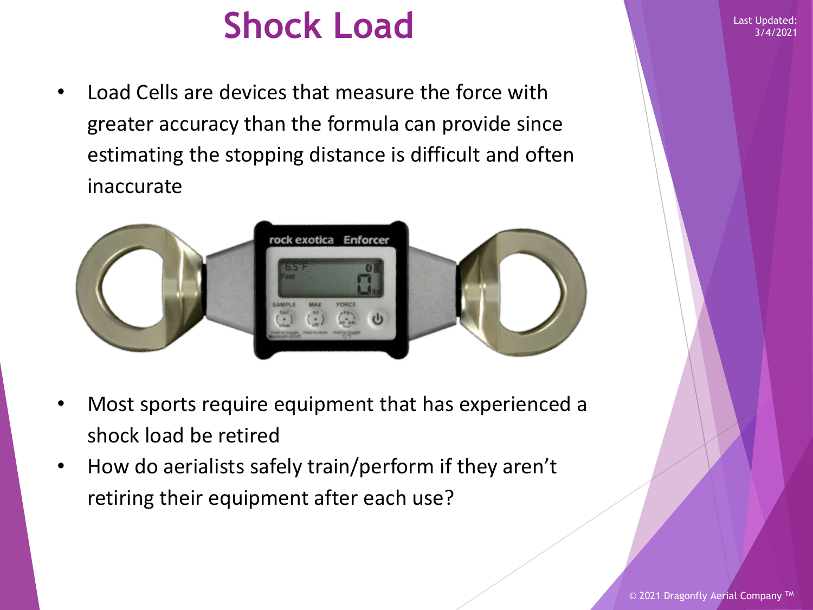## **Shock Load**

• Load Cells are devices that measure the force with greater accuracy than the formula can provide since estimating the stopping distance is difficult and often inaccurate



- Most sports require equipment that has experienced a shock load be retired
- How do aerialists safely train/perform if they aren't retiring their equipment after each use?

Last Updated: 3/4/2021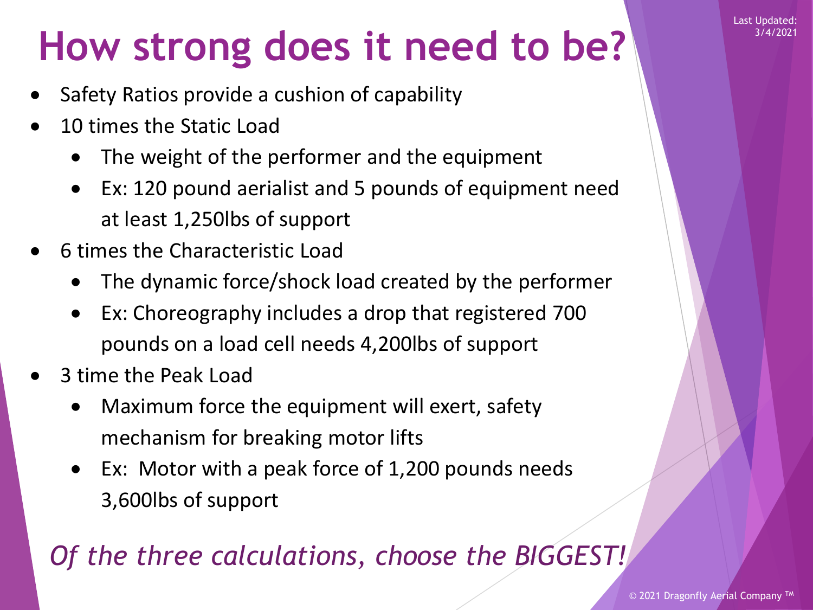# **How strong does it need to be?**

- Safety Ratios provide a cushion of capability
- 10 times the Static Load
	- The weight of the performer and the equipment
	- Ex: 120 pound aerialist and 5 pounds of equipment need at least 1,250lbs of support
- 6 times the Characteristic Load
	- The dynamic force/shock load created by the performer
	- Ex: Choreography includes a drop that registered 700 pounds on a load cell needs 4,200lbs of support
- 3 time the Peak Load
	- Maximum force the equipment will exert, safety mechanism for breaking motor lifts
	- Ex: Motor with a peak force of 1,200 pounds needs 3,600lbs of support

### *Of the three calculations, choose the BIGGEST!*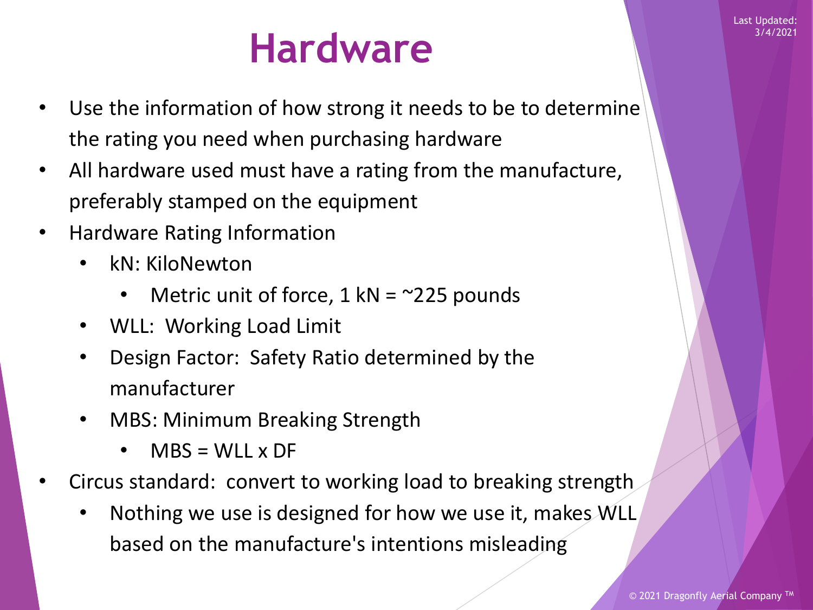## **Hardware**

- Use the information of how strong it needs to be to determine the rating you need when purchasing hardware
- All hardware used must have a rating from the manufacture, preferably stamped on the equipment
- Hardware Rating Information
	- kN: KiloNewton
		- Metric unit of force,  $1 \text{ kN} = \text{225}$  pounds
	- WLL: Working Load Limit
	- Design Factor: Safety Ratio determined by the manufacturer
	- MBS: Minimum Breaking Strength
		- $MBS = WIL \times DF$
- Circus standard: convert to working load to breaking strength
	- Nothing we use is designed for how we use it, makes WLL based on the manufacture's intentions misleading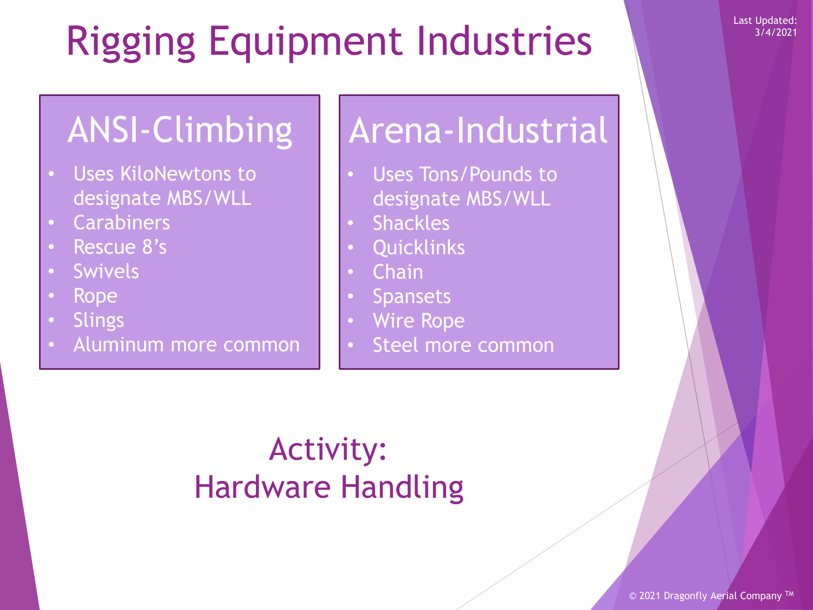# Rigging Equipment Industries

- Uses KiloNewtons to designate MBS/WLL
- **Carabiners**
- Rescue 8's
- **Swivels**
- Rope
- **Slings**
- Aluminum more common

## ANSI-Climbing Arena-Industrial

- Uses Tons/Pounds to designate MBS/WLL
- Shackles
- Quicklinks
- Chain
- **Spansets**
- Wire Rope
- Steel more common

## Activity: Hardware Handling

Last Updated: 3/4/2021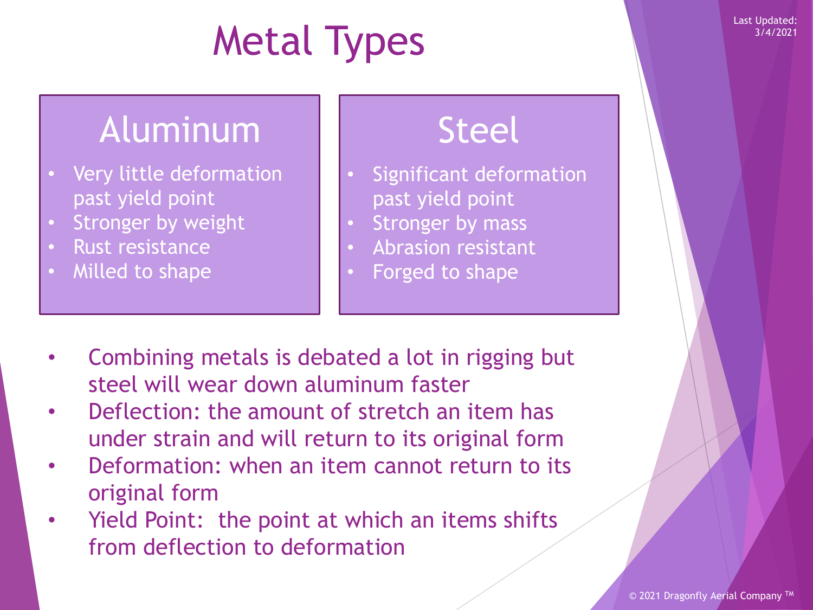# Metal Types

## Aluminum I Steel

- Very little deformation past yield point
- Stronger by weight
- Rust resistance
- Milled to shape

- Significant deformation past yield point
- Stronger by mass
- Abrasion resistant
- Forged to shape

- Combining metals is debated a lot in rigging but steel will wear down aluminum faster
- Deflection: the amount of stretch an item has under strain and will return to its original form
- Deformation: when an item cannot return to its original form
- Yield Point: the point at which an items shifts from deflection to deformation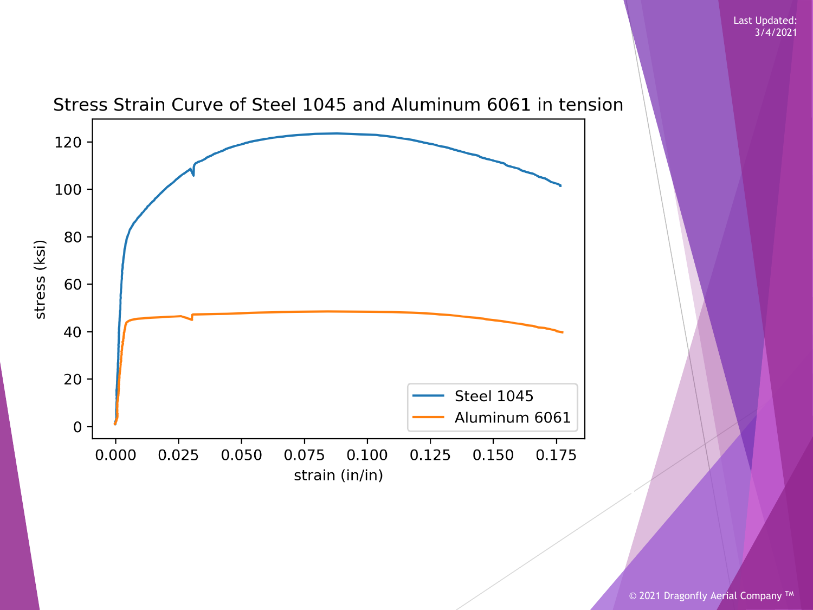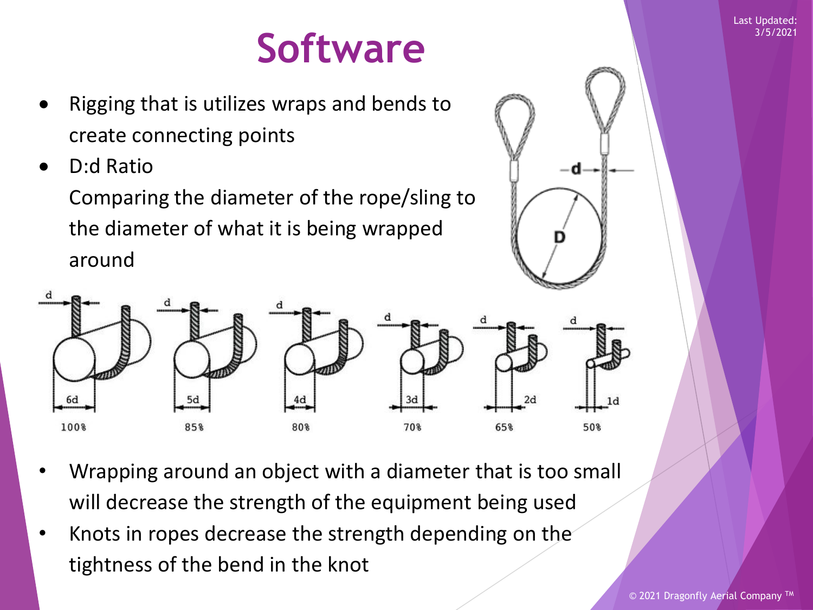# **Software**

- Rigging that is utilizes wraps and bends to create connecting points
- D:d Ratio

Comparing the diameter of the rope/sling to the diameter of what it is being wrapped around





- Wrapping around an object with a diameter that is too small will decrease the strength of the equipment being used
- Knots in ropes decrease the strength depending on the tightness of the bend in the knot

Last Updated: 3/5/2021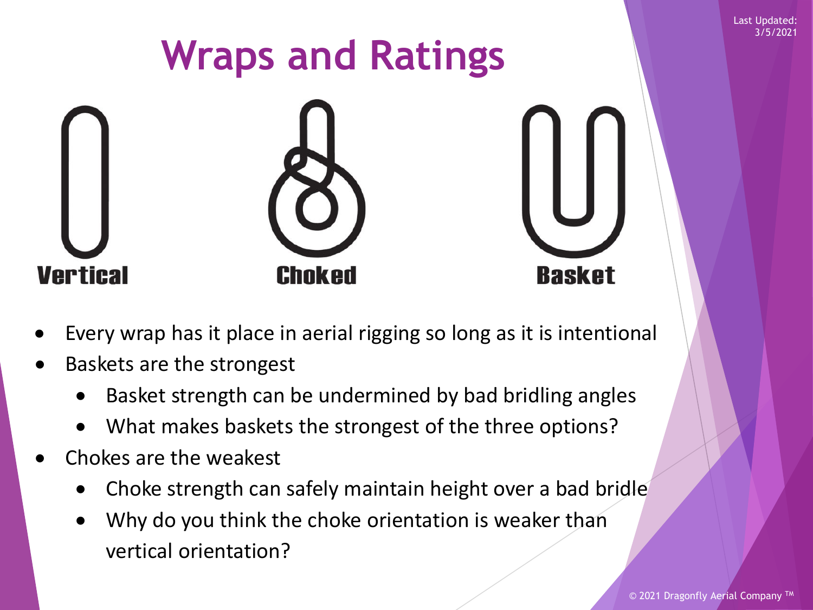

- Every wrap has it place in aerial rigging so long as it is intentional
- Baskets are the strongest
	- Basket strength can be undermined by bad bridling angles
	- What makes baskets the strongest of the three options?
- Chokes are the weakest
	- Choke strength can safely maintain height over a bad bridle
	- Why do you think the choke orientation is weaker than vertical orientation?

3/5/2021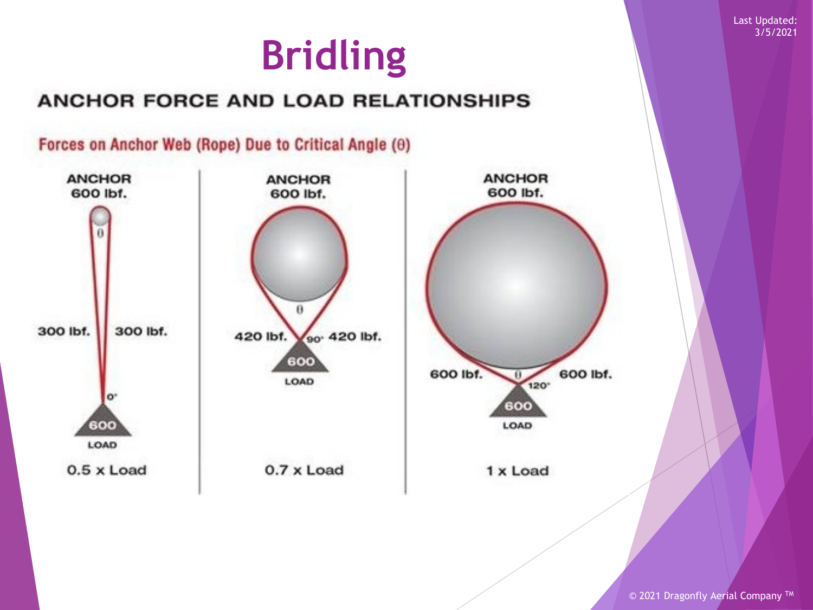## **Bridling**

#### ANCHOR FORCE AND LOAD RELATIONSHIPS



© 2021 Dragonfly Aerial Company<sup>TM</sup>

Last Updated: 3/5/2021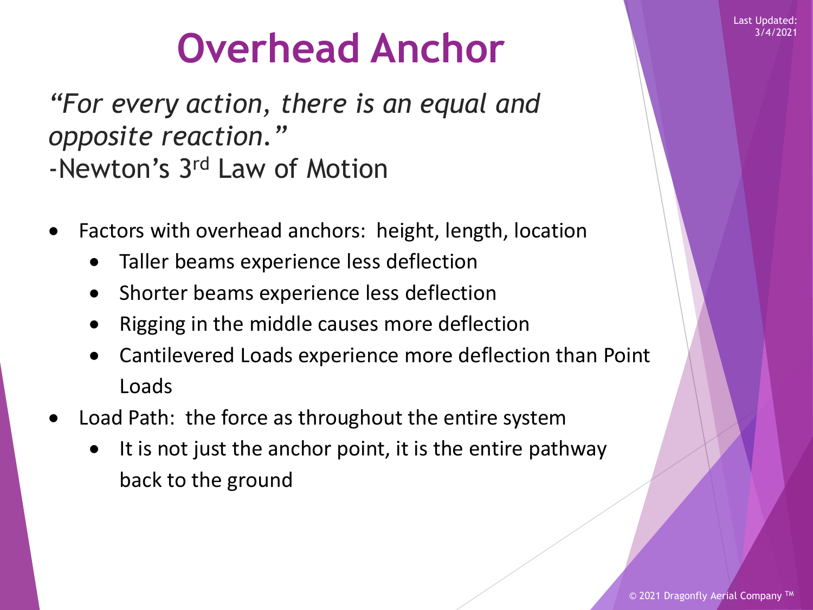# **Overhead Anchor**

*"For every action, there is an equal and opposite reaction."* -Newton's 3rd Law of Motion

- Factors with overhead anchors: height, length, location
	- Taller beams experience less deflection
	- Shorter beams experience less deflection
	- Rigging in the middle causes more deflection
	- Cantilevered Loads experience more deflection than Point Loads
- Load Path: the force as throughout the entire system
	- It is not just the anchor point, it is the entire pathway back to the ground